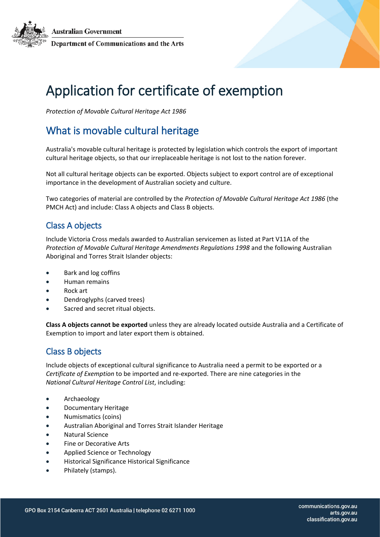**Australian Government** Department of Communications and the Arts

# Application for certificate of exemption

*Protection of Movable Cultural Heritage Act 1986* 

## What is movable cultural heritage

Australia's movable cultural heritage is protected by legislation which controls the export of important cultural heritage objects, so that our irreplaceable heritage is not lost to the nation forever.

Not all cultural heritage objects can be exported. Objects subject to export control are of exceptional importance in the development of Australian society and culture.

Two categories of material are controlled by the *Protection of Movable Cultural Heritage Act 1986* (the PMCH Act) and include: Class A objects and Class B objects.

#### Class A objects

Include Victoria Cross medals awarded to Australian servicemen as listed at Part V11A of the *Protection of Movable Cultural Heritage Amendments Regulations 1998* and the following Australian Aboriginal and Torres Strait Islander objects:

- Bark and log coffins
- Human remains
- Rock art
- Dendroglyphs (carved trees)
- Sacred and secret ritual objects.

**Class A objects cannot be exported** unless they are already located outside Australia and a Certificate of Exemption to import and later export them is obtained.

#### Class B objects

Include objects of exceptional cultural significance to Australia need a permit to be exported or a *Certificate of Exemption* to be imported and re-exported. There are nine categories in the *National Cultural Heritage Control List*, including:

- Archaeology
- Documentary Heritage
- Numismatics (coins)
- Australian Aboriginal and Torres Strait Islander Heritage
- Natural Science
- Fine or Decorative Arts
- Applied Science or Technology
- Historical Significance Historical Significance
- Philately (stamps).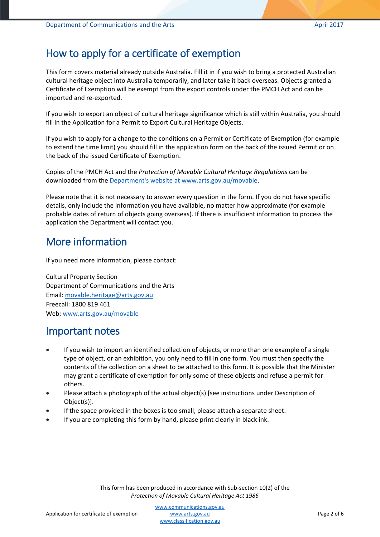## How to apply for a certificate of exemption

This form covers material already outside Australia. Fill it in if you wish to bring a protected Australian cultural heritage object into Australia temporarily, and later take it back overseas. Objects granted a Certificate of Exemption will be exempt from the export controls under the PMCH Act and can be imported and re-exported.

If you wish to export an object of cultural heritage significance which is still within Australia, you should fill in the Application for a Permit to Export Cultural Heritage Objects.

If you wish to apply for a change to the conditions on a Permit or Certificate of Exemption (for example to extend the time limit) you should fill in the application form on the back of the issued Permit or on the back of the issued Certificate of Exemption.

Copies of the PMCH Act and the *Protection of Movable Cultural Heritage Regulations* can be downloaded from the [Department's website at www.arts.gov.au/movable.](http://www.arts.gov.au/movable)

Please note that it is not necessary to answer every question in the form. If you do not have specific details, only include the information you have available, no matter how approximate (for example probable dates of return of objects going overseas). If there is insufficient information to process the application the Department will contact you.

### More information

If you need more information, please contact:

Cultural Property Section Department of Communications and the Arts Email: [movable.heritage@arts.gov.au](mailto:movable.heritage@arts.gov.au) Freecall: 1800 819 461 Web: [www.arts.gov.au/movable](http://www.arts.gov.au/movable)

#### Important notes

- If you wish to import an identified collection of objects, or more than one example of a single type of object, or an exhibition, you only need to fill in one form. You must then specify the contents of the collection on a sheet to be attached to this form. It is possible that the Minister may grant a certificate of exemption for only some of these objects and refuse a permit for others.
- Please attach a photograph of the actual object(s) [see instructions under Description of Object(s)].
- If the space provided in the boxes is too small, please attach a separate sheet.
- If you are completing this form by hand, please print clearly in black ink.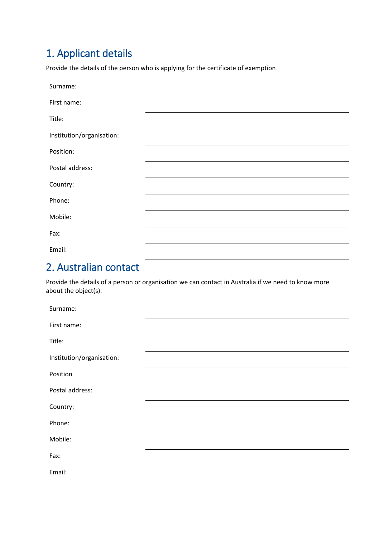# 1. Applicant details

Provide the details of the person who is applying for the certificate of exemption

| Surname:                  |  |
|---------------------------|--|
| First name:               |  |
| Title:                    |  |
| Institution/organisation: |  |
| Position:                 |  |
| Postal address:           |  |
| Country:                  |  |
| Phone:                    |  |
| Mobile:                   |  |
| Fax:                      |  |
| Email:                    |  |

# 2. Australian contact

Provide the details of a person or organisation we can contact in Australia if we need to know more about the object(s).

| Surname:                  |  |
|---------------------------|--|
| First name:               |  |
| Title:                    |  |
| Institution/organisation: |  |
| Position                  |  |
| Postal address:           |  |
| Country:                  |  |
| Phone:                    |  |
| Mobile:                   |  |
| Fax:                      |  |
| Email:                    |  |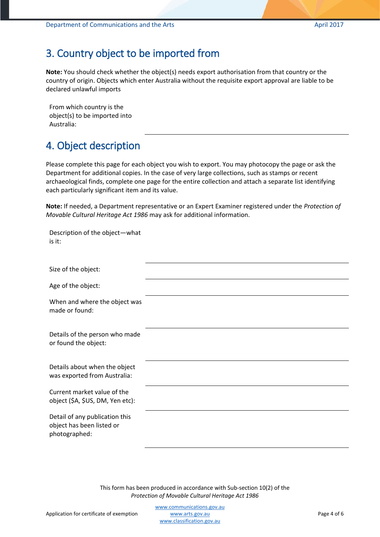### 3. Country object to be imported from

**Note:** You should check whether the object(s) needs export authorisation from that country or the country of origin. Objects which enter Australia without the requisite export approval are liable to be declared unlawful imports

From which country is the object(s) to be imported into Australia:

# 4. Object description

Please complete this page for each object you wish to export. You may photocopy the page or ask the Department for additional copies. In the case of very large collections, such as stamps or recent archaeological finds, complete one page for the entire collection and attach a separate list identifying each particularly significant item and its value.

**Note:** If needed, a Department representative or an Expert Examiner registered under the *Protection of Movable Cultural Heritage Act 1986* may ask for additional information.

| Description of the object-what<br>is it:                                     |  |
|------------------------------------------------------------------------------|--|
| Size of the object:                                                          |  |
| Age of the object:                                                           |  |
| When and where the object was<br>made or found:                              |  |
| Details of the person who made<br>or found the object:                       |  |
| Details about when the object<br>was exported from Australia:                |  |
| Current market value of the<br>object (\$A, \$US, DM, Yen etc):              |  |
| Detail of any publication this<br>object has been listed or<br>photographed: |  |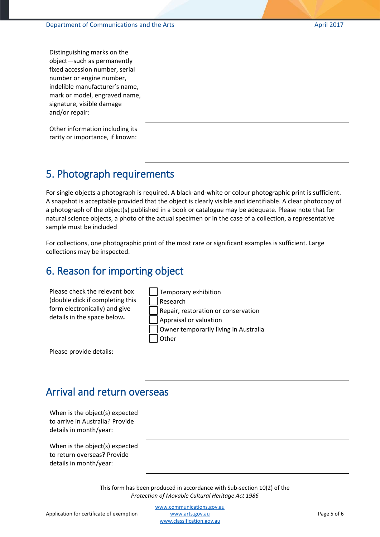Distinguishing marks on the object—such as permanently fixed accession number, serial number or engine number, indelible manufacturer's name, mark or model, engraved name, signature, visible damage and/or repair:

Other information including its rarity or importance, if known:

# 5. Photograph requirements

For single objects a photograph is required. A black-and-white or colour photographic print is sufficient. A snapshot is acceptable provided that the object is clearly visible and identifiable. A clear photocopy of a photograph of the object(s) published in a book or catalogue may be adequate. Please note that for natural science objects, a photo of the actual specimen or in the case of a collection, a representative sample must be included

For collections, one photographic print of the most rare or significant examples is sufficient. Large collections may be inspected.

#### 6. Reason for importing object

| Please check the relevant box<br>(double click if completing this<br>form electronically) and give<br>details in the space below. | Temporary exhibition<br>Research<br>Repair, restoration or conservation<br>Appraisal or valuation<br>Owner temporarily living in Australia<br>Other |
|-----------------------------------------------------------------------------------------------------------------------------------|-----------------------------------------------------------------------------------------------------------------------------------------------------|
|-----------------------------------------------------------------------------------------------------------------------------------|-----------------------------------------------------------------------------------------------------------------------------------------------------|

Please provide details:

#### Arrival and return overseas

When is the object(s) expected to arrive in Australia? Provide details in month/year:

When is the object(s) expected to return overseas? Provide details in month/year: